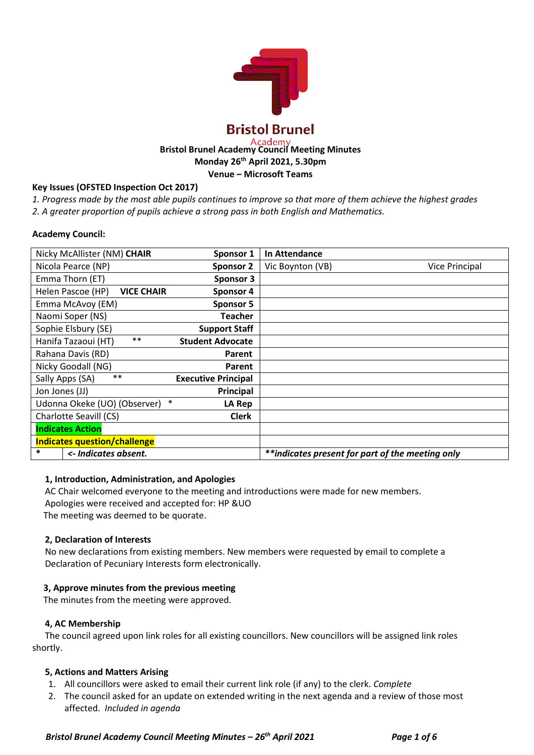

# **Bristol Brunel Academy Council Meeting Minutes Monday 26th April 2021, 5.30pm Venue – Microsoft Teams**

## **Key Issues (OFSTED Inspection Oct 2017)**

*1. Progress made by the most able pupils continues to improve so that more of them achieve the highest grades*

*2. A greater proportion of pupils achieve a strong pass in both English and Mathematics.*

## **Academy Council:**

| Nicky McAllister (NM) CHAIR<br>Sponsor 1                | <b>In Attendance</b>                             |
|---------------------------------------------------------|--------------------------------------------------|
| Nicola Pearce (NP)<br><b>Sponsor 2</b>                  | Vic Boynton (VB)<br>Vice Principal               |
| Emma Thorn (ET)<br><b>Sponsor 3</b>                     |                                                  |
| Helen Pascoe (HP)<br><b>VICE CHAIR</b><br>Sponsor 4     |                                                  |
| Emma McAvoy (EM)<br><b>Sponsor 5</b>                    |                                                  |
| Naomi Soper (NS)<br><b>Teacher</b>                      |                                                  |
| Sophie Elsbury (SE)<br><b>Support Staff</b>             |                                                  |
| $***$<br>Hanifa Tazaoui (HT)<br><b>Student Advocate</b> |                                                  |
| Rahana Davis (RD)<br>Parent                             |                                                  |
| Nicky Goodall (NG)<br>Parent                            |                                                  |
| $***$<br>Sally Apps (SA)<br><b>Executive Principal</b>  |                                                  |
| Jon Jones (JJ)<br>Principal                             |                                                  |
| $\ast$<br>Udonna Okeke (UO) (Observer)<br>LA Rep        |                                                  |
| Charlotte Seavill (CS)<br><b>Clerk</b>                  |                                                  |
| <b>Indicates Action</b>                                 |                                                  |
| <b>Indicates question/challenge</b>                     |                                                  |
| *<br><- Indicates absent.                               | **indicates present for part of the meeting only |

## **1, Introduction, Administration, and Apologies**

AC Chair welcomed everyone to the meeting and introductions were made for new members. Apologies were received and accepted for: HP &UO The meeting was deemed to be quorate.

## **2, Declaration of Interests**

No new declarations from existing members. New members were requested by email to complete a Declaration of Pecuniary Interests form electronically.

## **3, Approve minutes from the previous meeting**

The minutes from the meeting were approved.

## **4, AC Membership**

The council agreed upon link roles for all existing councillors. New councillors will be assigned link roles shortly.

## **5, Actions and Matters Arising**

- 1. All councillors were asked to email their current link role (if any) to the clerk. *Complete*
- 2. The council asked for an update on extended writing in the next agenda and a review of those most affected. *Included in agenda*

 *Bristol Brunel Academy Council Meeting Minutes – 26th April 2021 Page 1 of 6*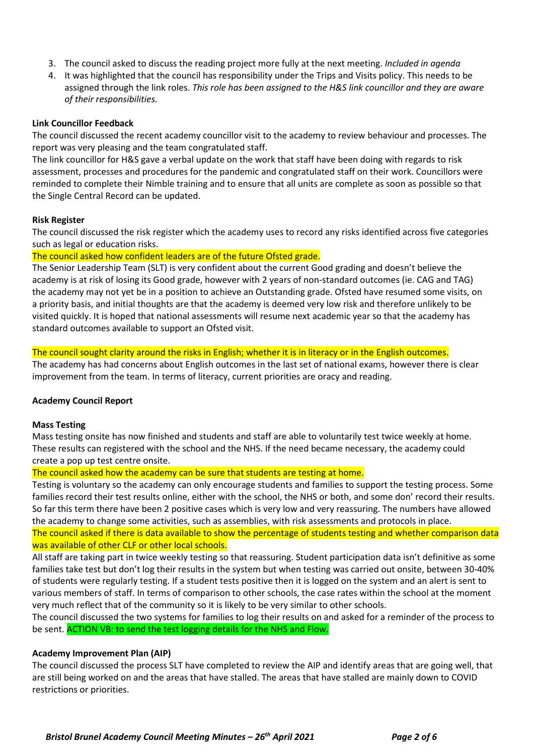- 3. The council asked to discuss the reading project more fully at the next meeting. *Included in agenda*
- 4. It was highlighted that the council has responsibility under the Trips and Visits policy. This needs to be assigned through the link roles. *This role has been assigned to the H&S link councillor and they are aware of their responsibilities.*

#### **Link Councillor Feedback**

The council discussed the recent academy councillor visit to the academy to review behaviour and processes. The report was very pleasing and the team congratulated staff.

The link councillor for H&S gave a verbal update on the work that staff have been doing with regards to risk assessment, processes and procedures for the pandemic and congratulated staff on their work. Councillors were reminded to complete their Nimble training and to ensure that all units are complete as soon as possible so that the Single Central Record can be updated.

#### **Risk Register**

The council discussed the risk register which the academy uses to record any risks identified across five categories such as legal or education risks.

#### The council asked how confident leaders are of the future Ofsted grade.

The Senior Leadership Team (SLT) is very confident about the current Good grading and doesn't believe the academy is at risk of losing its Good grade, however with 2 years of non-standard outcomes (ie. CAG and TAG) the academy may not yet be in a position to achieve an Outstanding grade. Ofsted have resumed some visits, on a priority basis, and initial thoughts are that the academy is deemed very low risk and therefore unlikely to be visited quickly. It is hoped that national assessments will resume next academic year so that the academy has standard outcomes available to support an Ofsted visit.

#### The council sought clarity around the risks in English; whether it is in literacy or in the English outcomes.

The academy has had concerns about English outcomes in the last set of national exams, however there is clear improvement from the team. In terms of literacy, current priorities are oracy and reading.

## **Academy Council Report**

#### **Mass Testing**

Mass testing onsite has now finished and students and staff are able to voluntarily test twice weekly at home. These results can registered with the school and the NHS. If the need became necessary, the academy could create a pop up test centre onsite.

#### The council asked how the academy can be sure that students are testing at home.

Testing is voluntary so the academy can only encourage students and families to support the testing process. Some families record their test results online, either with the school, the NHS or both, and some don' record their results. So far this term there have been 2 positive cases which is very low and very reassuring. The numbers have allowed the academy to change some activities, such as assemblies, with risk assessments and protocols in place.

The council asked if there is data available to show the percentage of students testing and whether comparison data was available of other CLF or other local schools.

All staff are taking part in twice weekly testing so that reassuring. Student participation data isn't definitive as some families take test but don't log their results in the system but when testing was carried out onsite, between 30-40% of students were regularly testing. If a student tests positive then it is logged on the system and an alert is sent to various members of staff. In terms of comparison to other schools, the case rates within the school at the moment very much reflect that of the community so it is likely to be very similar to other schools.

The council discussed the two systems for families to log their results on and asked for a reminder of the process to be sent. ACTION VB: to send the test logging details for the NHS and Flow.

#### **Academy Improvement Plan (AIP)**

The council discussed the process SLT have completed to review the AIP and identify areas that are going well, that are still being worked on and the areas that have stalled. The areas that have stalled are mainly down to COVID restrictions or priorities.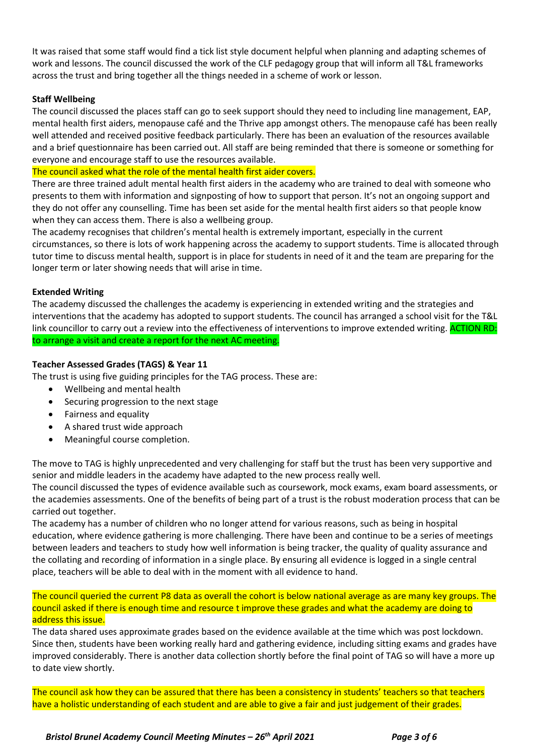It was raised that some staff would find a tick list style document helpful when planning and adapting schemes of work and lessons. The council discussed the work of the CLF pedagogy group that will inform all T&L frameworks across the trust and bring together all the things needed in a scheme of work or lesson.

## **Staff Wellbeing**

The council discussed the places staff can go to seek support should they need to including line management, EAP, mental health first aiders, menopause café and the Thrive app amongst others. The menopause café has been really well attended and received positive feedback particularly. There has been an evaluation of the resources available and a brief questionnaire has been carried out. All staff are being reminded that there is someone or something for everyone and encourage staff to use the resources available.

The council asked what the role of the mental health first aider covers.

There are three trained adult mental health first aiders in the academy who are trained to deal with someone who presents to them with information and signposting of how to support that person. It's not an ongoing support and they do not offer any counselling. Time has been set aside for the mental health first aiders so that people know when they can access them. There is also a wellbeing group.

The academy recognises that children's mental health is extremely important, especially in the current circumstances, so there is lots of work happening across the academy to support students. Time is allocated through tutor time to discuss mental health, support is in place for students in need of it and the team are preparing for the longer term or later showing needs that will arise in time.

## **Extended Writing**

The academy discussed the challenges the academy is experiencing in extended writing and the strategies and interventions that the academy has adopted to support students. The council has arranged a school visit for the T&L link councillor to carry out a review into the effectiveness of interventions to improve extended writing. ACTION RD: to arrange a visit and create a report for the next AC meeting.

## **Teacher Assessed Grades (TAGS) & Year 11**

The trust is using five guiding principles for the TAG process. These are:

- Wellbeing and mental health
- Securing progression to the next stage
- Fairness and equality
- A shared trust wide approach
- Meaningful course completion.

The move to TAG is highly unprecedented and very challenging for staff but the trust has been very supportive and senior and middle leaders in the academy have adapted to the new process really well.

The council discussed the types of evidence available such as coursework, mock exams, exam board assessments, or the academies assessments. One of the benefits of being part of a trust is the robust moderation process that can be carried out together.

The academy has a number of children who no longer attend for various reasons, such as being in hospital education, where evidence gathering is more challenging. There have been and continue to be a series of meetings between leaders and teachers to study how well information is being tracker, the quality of quality assurance and the collating and recording of information in a single place. By ensuring all evidence is logged in a single central place, teachers will be able to deal with in the moment with all evidence to hand.

The council queried the current P8 data as overall the cohort is below national average as are many key groups. The council asked if there is enough time and resource t improve these grades and what the academy are doing to address this issue.

The data shared uses approximate grades based on the evidence available at the time which was post lockdown. Since then, students have been working really hard and gathering evidence, including sitting exams and grades have improved considerably. There is another data collection shortly before the final point of TAG so will have a more up to date view shortly.

The council ask how they can be assured that there has been a consistency in students' teachers so that teachers have a holistic understanding of each student and are able to give a fair and just judgement of their grades.

 *Bristol Brunel Academy Council Meeting Minutes – 26th April 2021 Page 3 of 6*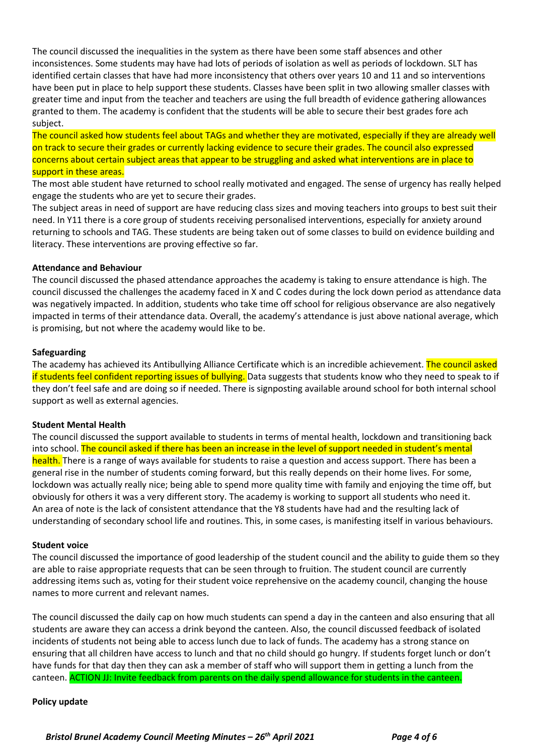The council discussed the inequalities in the system as there have been some staff absences and other inconsistences. Some students may have had lots of periods of isolation as well as periods of lockdown. SLT has identified certain classes that have had more inconsistency that others over years 10 and 11 and so interventions have been put in place to help support these students. Classes have been split in two allowing smaller classes with greater time and input from the teacher and teachers are using the full breadth of evidence gathering allowances granted to them. The academy is confident that the students will be able to secure their best grades fore ach subject.

The council asked how students feel about TAGs and whether they are motivated, especially if they are already well on track to secure their grades or currently lacking evidence to secure their grades. The council also expressed concerns about certain subject areas that appear to be struggling and asked what interventions are in place to support in these areas.

The most able student have returned to school really motivated and engaged. The sense of urgency has really helped engage the students who are yet to secure their grades.

The subject areas in need of support are have reducing class sizes and moving teachers into groups to best suit their need. In Y11 there is a core group of students receiving personalised interventions, especially for anxiety around returning to schools and TAG. These students are being taken out of some classes to build on evidence building and literacy. These interventions are proving effective so far.

## **Attendance and Behaviour**

The council discussed the phased attendance approaches the academy is taking to ensure attendance is high. The council discussed the challenges the academy faced in X and C codes during the lock down period as attendance data was negatively impacted. In addition, students who take time off school for religious observance are also negatively impacted in terms of their attendance data. Overall, the academy's attendance is just above national average, which is promising, but not where the academy would like to be.

#### **Safeguarding**

The academy has achieved its Antibullying Alliance Certificate which is an incredible achievement. The council asked if students feel confident reporting issues of bullying. Data suggests that students know who they need to speak to if they don't feel safe and are doing so if needed. There is signposting available around school for both internal school support as well as external agencies.

## **Student Mental Health**

The council discussed the support available to students in terms of mental health, lockdown and transitioning back into school. The council asked if there has been an increase in the level of support needed in student's mental health. There is a range of ways available for students to raise a question and access support. There has been a general rise in the number of students coming forward, but this really depends on their home lives. For some, lockdown was actually really nice; being able to spend more quality time with family and enjoying the time off, but obviously for others it was a very different story. The academy is working to support all students who need it. An area of note is the lack of consistent attendance that the Y8 students have had and the resulting lack of understanding of secondary school life and routines. This, in some cases, is manifesting itself in various behaviours.

#### **Student voice**

The council discussed the importance of good leadership of the student council and the ability to guide them so they are able to raise appropriate requests that can be seen through to fruition. The student council are currently addressing items such as, voting for their student voice reprehensive on the academy council, changing the house names to more current and relevant names.

The council discussed the daily cap on how much students can spend a day in the canteen and also ensuring that all students are aware they can access a drink beyond the canteen. Also, the council discussed feedback of isolated incidents of students not being able to access lunch due to lack of funds. The academy has a strong stance on ensuring that all children have access to lunch and that no child should go hungry. If students forget lunch or don't have funds for that day then they can ask a member of staff who will support them in getting a lunch from the canteen. ACTION JJ: Invite feedback from parents on the daily spend allowance for students in the canteen.

#### **Policy update**

 *Bristol Brunel Academy Council Meeting Minutes – 26th April 2021 Page 4 of 6*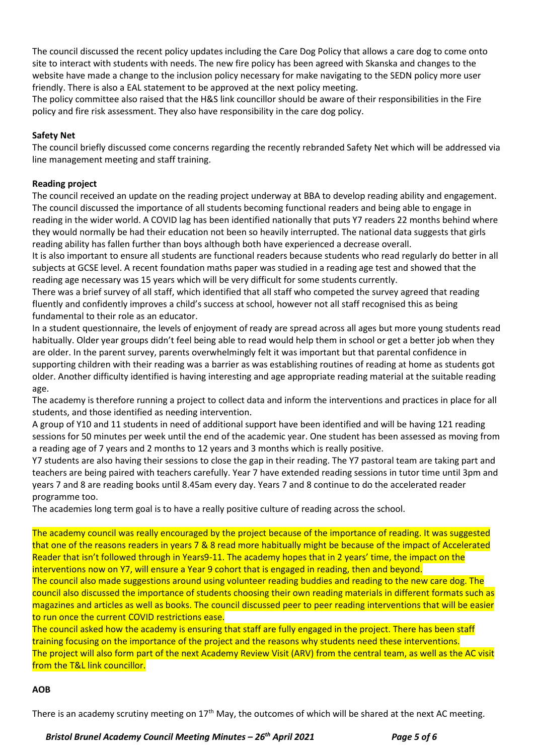The council discussed the recent policy updates including the Care Dog Policy that allows a care dog to come onto site to interact with students with needs. The new fire policy has been agreed with Skanska and changes to the website have made a change to the inclusion policy necessary for make navigating to the SEDN policy more user friendly. There is also a EAL statement to be approved at the next policy meeting.

The policy committee also raised that the H&S link councillor should be aware of their responsibilities in the Fire policy and fire risk assessment. They also have responsibility in the care dog policy.

## **Safety Net**

The council briefly discussed come concerns regarding the recently rebranded Safety Net which will be addressed via line management meeting and staff training.

## **Reading project**

The council received an update on the reading project underway at BBA to develop reading ability and engagement. The council discussed the importance of all students becoming functional readers and being able to engage in reading in the wider world. A COVID lag has been identified nationally that puts Y7 readers 22 months behind where they would normally be had their education not been so heavily interrupted. The national data suggests that girls reading ability has fallen further than boys although both have experienced a decrease overall.

It is also important to ensure all students are functional readers because students who read regularly do better in all subjects at GCSE level. A recent foundation maths paper was studied in a reading age test and showed that the reading age necessary was 15 years which will be very difficult for some students currently.

There was a brief survey of all staff, which identified that all staff who competed the survey agreed that reading fluently and confidently improves a child's success at school, however not all staff recognised this as being fundamental to their role as an educator.

In a student questionnaire, the levels of enjoyment of ready are spread across all ages but more young students read habitually. Older year groups didn't feel being able to read would help them in school or get a better job when they are older. In the parent survey, parents overwhelmingly felt it was important but that parental confidence in supporting children with their reading was a barrier as was establishing routines of reading at home as students got older. Another difficulty identified is having interesting and age appropriate reading material at the suitable reading age.

The academy is therefore running a project to collect data and inform the interventions and practices in place for all students, and those identified as needing intervention.

A group of Y10 and 11 students in need of additional support have been identified and will be having 121 reading sessions for 50 minutes per week until the end of the academic year. One student has been assessed as moving from a reading age of 7 years and 2 months to 12 years and 3 months which is really positive.

Y7 students are also having their sessions to close the gap in their reading. The Y7 pastoral team are taking part and teachers are being paired with teachers carefully. Year 7 have extended reading sessions in tutor time until 3pm and years 7 and 8 are reading books until 8.45am every day. Years 7 and 8 continue to do the accelerated reader programme too.

The academies long term goal is to have a really positive culture of reading across the school.

The academy council was really encouraged by the project because of the importance of reading. It was suggested that one of the reasons readers in years 7 & 8 read more habitually might be because of the impact of Accelerated Reader that isn't followed through in Years9-11. The academy hopes that in 2 years' time, the impact on the interventions now on Y7, will ensure a Year 9 cohort that is engaged in reading, then and beyond.

The council also made suggestions around using volunteer reading buddies and reading to the new care dog. The council also discussed the importance of students choosing their own reading materials in different formats such as magazines and articles as well as books. The council discussed peer to peer reading interventions that will be easier to run once the current COVID restrictions ease.

The council asked how the academy is ensuring that staff are fully engaged in the project. There has been staff training focusing on the importance of the project and the reasons why students need these interventions. The project will also form part of the next Academy Review Visit (ARV) from the central team, as well as the AC visit from the T&L link councillor.

## **AOB**

There is an academy scrutiny meeting on 17<sup>th</sup> May, the outcomes of which will be shared at the next AC meeting.

 *Bristol Brunel Academy Council Meeting Minutes – 26th April 2021 Page 5 of 6*